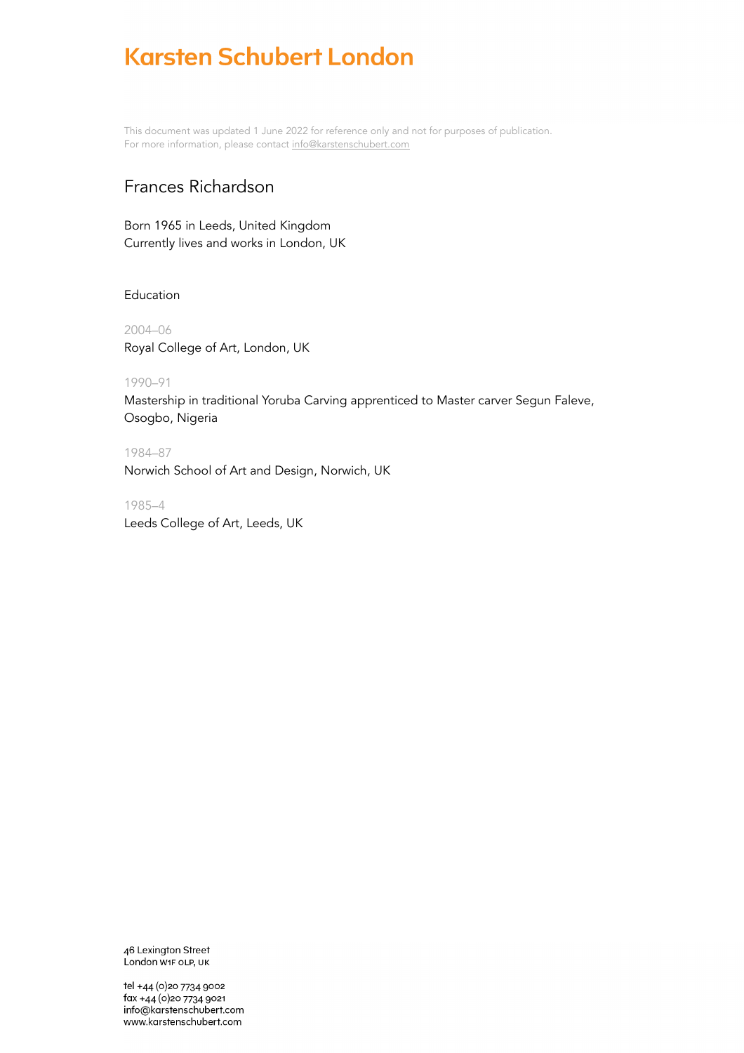This document was updated 1 June 2022 for reference only and not for purposes of publication. For more information, please contact [info@karstenschubert.com](mailto:info@karstenschubert.com)

## Frances Richardson

Born 1965 in Leeds, United Kingdom Currently lives and works in London, UK

## Education

2004–06 Royal College of Art, London, UK

## 1990–91

Mastership in traditional Yoruba Carving apprenticed to Master carver Segun Faleve, Osogbo, Nigeria

1984–87 Norwich School of Art and Design, Norwich, UK

1985–4 Leeds College of Art, Leeds, UK

46 Lexington Street London W1F OLP, UK

tel +44 (0) 20 7734 9002 fax +44 (0)20 7734 9021 info@karstenschubert.com www.karstenschubert.com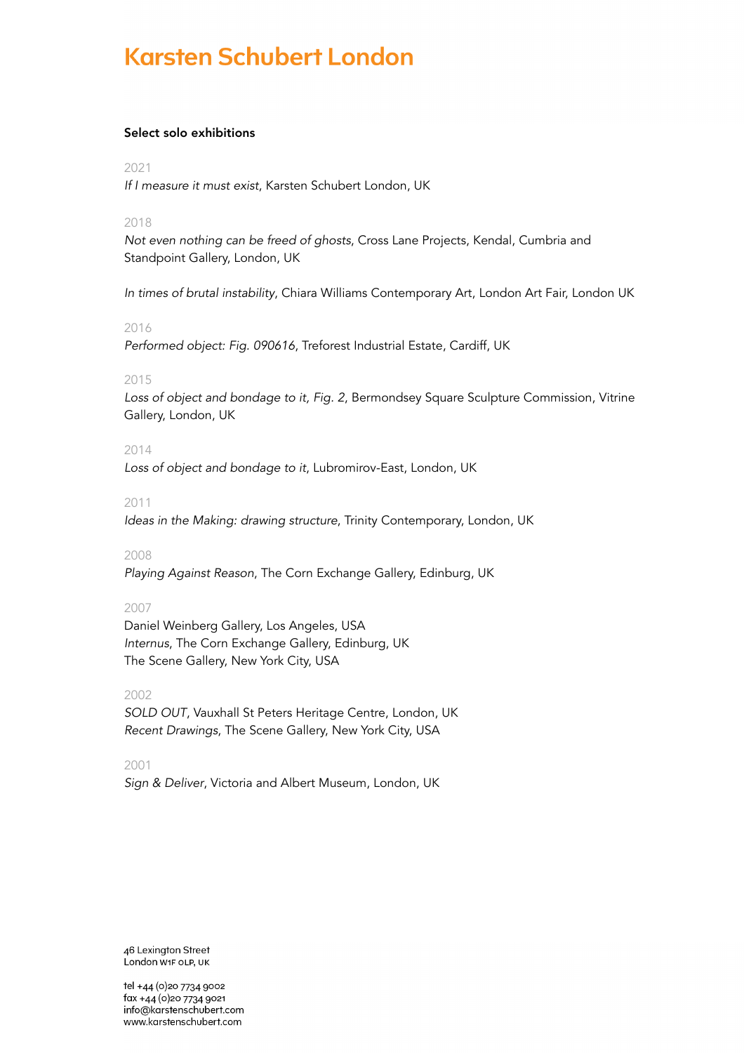## Select solo exhibitions

#### 2021

*If I measure it must exist*, Karsten Schubert London, UK

## 2018

*Not even nothing can be freed of ghosts*, Cross Lane Projects, Kendal, Cumbria and Standpoint Gallery, London, UK

*In times of brutal instability*, Chiara Williams Contemporary Art, London Art Fair, London UK

## 2016

*Performed object: Fig. 090616*, Treforest Industrial Estate, Cardiff, UK

## 2015

*Loss of object and bondage to it, Fig. 2*, Bermondsey Square Sculpture Commission, Vitrine Gallery, London, UK

## 2014

*Loss of object and bondage to it*, Lubromirov-East, London, UK

## 2011

*Ideas in the Making: drawing structure*, Trinity Contemporary, London, UK

## 2008

*Playing Against Reason*, The Corn Exchange Gallery, Edinburg, UK

## 2007

Daniel Weinberg Gallery, Los Angeles, USA *Internus*, The Corn Exchange Gallery, Edinburg, UK The Scene Gallery, New York City, USA

## 2002

*SOLD OUT*, Vauxhall St Peters Heritage Centre, London, UK *Recent Drawings*, The Scene Gallery, New York City, USA

## 2001

*Sign & Deliver*, Victoria and Albert Museum, London, UK

46 Lexington Street London W1F OLP, UK

tel +44 (0) 20 7734 9002 fax +44 (0)20 7734 9021 info@karstenschubert.com www.karstenschubert.com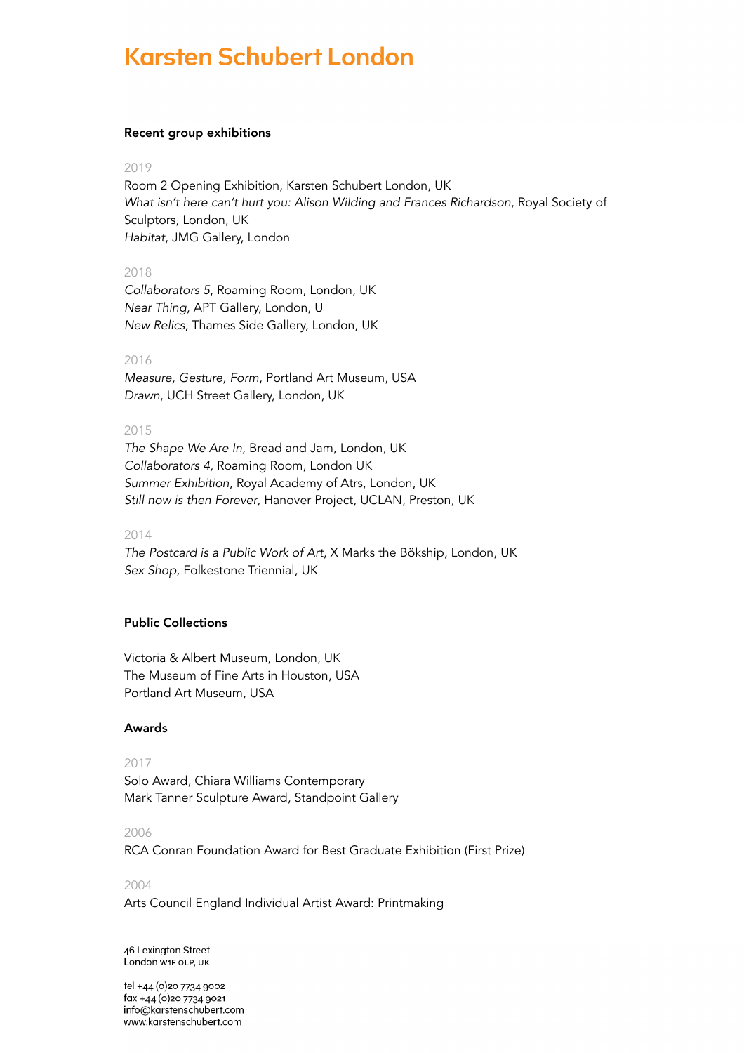#### Recent group exhibitions

#### 2019

Room 2 Opening Exhibition, Karsten Schubert London, UK *What isn't here can't hurt you: Alison Wilding and Frances Richardson*, Royal Society of Sculptors, London, UK *Habitat*, JMG Gallery, London

## 2018

*Collaborators 5*, Roaming Room, London, UK *Near Thing*, APT Gallery, London, U *New Relics*, Thames Side Gallery, London, UK

#### 2016

*Measure, Gesture, Form*, Portland Art Museum, USA *Drawn*, UCH Street Gallery, London, UK

## 2015

*The Shape We Are In,* Bread and Jam, London, UK *Collaborators 4,* Roaming Room, London UK *Summer Exhibition*, Royal Academy of Atrs, London, UK *Still now is then Forever*, Hanover Project, UCLAN, Preston, UK

#### 2014

*The Postcard is a Public Work of Art*, X Marks the Bökship, London, UK *Sex Shop*, Folkestone Triennial, UK

## Public Collections

Victoria & Albert Museum, London, UK The Museum of Fine Arts in Houston, USA Portland Art Museum, USA

## Awards

## 2017

Solo Award, Chiara Williams Contemporary Mark Tanner Sculpture Award, Standpoint Gallery

## 2006

RCA Conran Foundation Award for Best Graduate Exhibition (First Prize)

#### 2004

Arts Council England Individual Artist Award: Printmaking

46 Lexington Street London W1F OLP, UK

tel +44 (0) 20 7734 9002 fax +44 (0) 20 7734 9021 info@karstenschubert.com www.karstenschubert.com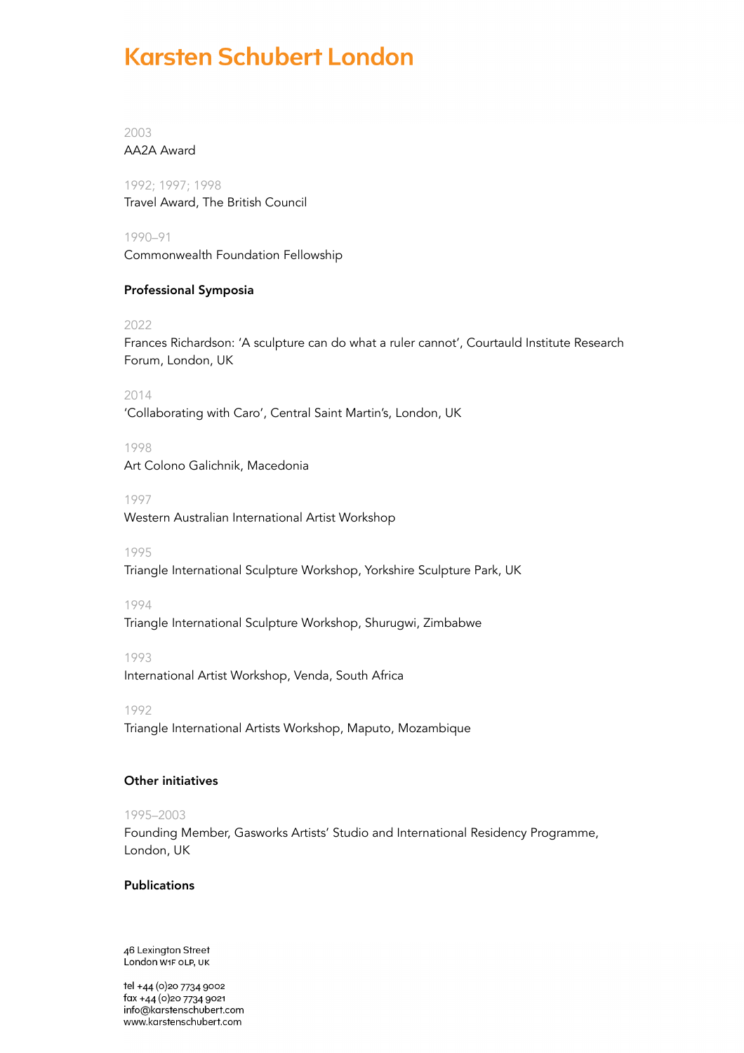2003 AA2A Award

1992; 1997; 1998 Travel Award, The British Council

1990–91 Commonwealth Foundation Fellowship

## Professional Symposia

2022

Frances Richardson: 'A sculpture can do what a ruler cannot', Courtauld Institute Research Forum, London, UK

2014 'Collaborating with Caro', Central Saint Martin's, London, UK

1998 Art Colono Galichnik, Macedonia

1997 Western Australian International Artist Workshop

1995

Triangle International Sculpture Workshop, Yorkshire Sculpture Park, UK

1994

Triangle International Sculpture Workshop, Shurugwi, Zimbabwe

1993

International Artist Workshop, Venda, South Africa

1992

Triangle International Artists Workshop, Maputo, Mozambique

## Other initiatives

## 1995–2003

Founding Member, Gasworks Artists' Studio and International Residency Programme, London, UK

## Publications

46 Lexington Street London W1F OLP, UK

tel +44 (0) 20 7734 9002 fax +44 (0)20 7734 9021 info@karstenschubert.com www.karstenschubert.com